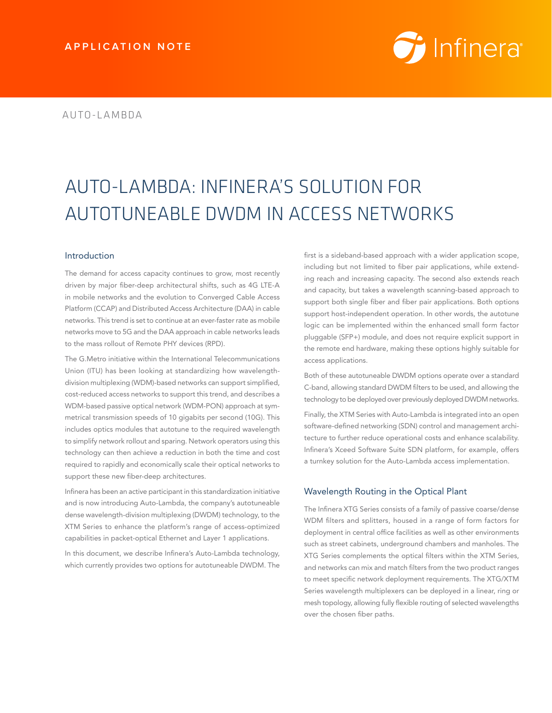# *i* Infinera<sup>®</sup>

# AUTO-LAMBDA: INFINERA'S SOLUTION FOR AUTOTUNEABLE DWDM IN ACCESS NETWORKS

# Introduction

The demand for access capacity continues to grow, most recently driven by major fiber-deep architectural shifts, such as 4G LTE-A in mobile networks and the evolution to Converged Cable Access Platform (CCAP) and Distributed Access Architecture (DAA) in cable networks. This trend is set to continue at an ever-faster rate as mobile networks move to 5G and the DAA approach in cable networks leads to the mass rollout of Remote PHY devices (RPD).

The G.Metro initiative within the International Telecommunications Union (ITU) has been looking at standardizing how wavelengthdivision multiplexing (WDM)-based networks can support simplified, cost-reduced access networks to support this trend, and describes a WDM-based passive optical network (WDM-PON) approach at symmetrical transmission speeds of 10 gigabits per second (10G). This includes optics modules that autotune to the required wavelength to simplify network rollout and sparing. Network operators using this technology can then achieve a reduction in both the time and cost required to rapidly and economically scale their optical networks to support these new fiber-deep architectures.

Infinera has been an active participant in this standardization initiative and is now introducing Auto-Lambda, the company's autotuneable dense wavelength-division multiplexing (DWDM) technology, to the XTM Series to enhance the platform's range of access-optimized capabilities in packet-optical Ethernet and Layer 1 applications.

In this document, we describe Infinera's Auto-Lambda technology, which currently provides two options for autotuneable DWDM. The

first is a sideband-based approach with a wider application scope, including but not limited to fiber pair applications, while extending reach and increasing capacity. The second also extends reach and capacity, but takes a wavelength scanning-based approach to support both single fiber and fiber pair applications. Both options support host-independent operation. In other words, the autotune logic can be implemented within the enhanced small form factor pluggable (SFP+) module, and does not require explicit support in the remote end hardware, making these options highly suitable for access applications.

Both of these autotuneable DWDM options operate over a standard C-band, allowing standard DWDM filters to be used, and allowing the technology to be deployed over previously deployed DWDM networks.

Finally, the XTM Series with Auto-Lambda is integrated into an open software-defined networking (SDN) control and management architecture to further reduce operational costs and enhance scalability. Infinera's Xceed Software Suite SDN platform, for example, offers a turnkey solution for the Auto-Lambda access implementation.

# Wavelength Routing in the Optical Plant

The Infinera XTG Series consists of a family of passive coarse/dense WDM filters and splitters, housed in a range of form factors for deployment in central office facilities as well as other environments such as street cabinets, underground chambers and manholes. The XTG Series complements the optical filters within the XTM Series, and networks can mix and match filters from the two product ranges to meet specific network deployment requirements. The XTG/XTM Series wavelength multiplexers can be deployed in a linear, ring or mesh topology, allowing fully flexible routing of selected wavelengths over the chosen fiber paths.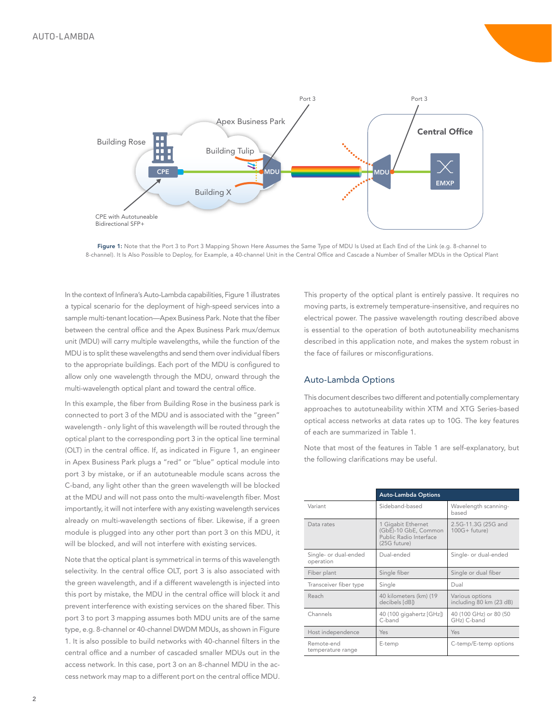

Figure 1: Note that the Port 3 to Port 3 Mapping Shown Here Assumes the Same Type of MDU Is Used at Each End of the Link (e.g. 8-channel to 8-channel). It Is Also Possible to Deploy, for Example, a 40-channel Unit in the Central Office and Cascade a Number of Smaller MDUs in the Optical Plant

In the context of Infinera's Auto-Lambda capabilities, Figure 1 illustrates a typical scenario for the deployment of high-speed services into a sample multi-tenant location—Apex Business Park. Note that the fiber between the central office and the Apex Business Park mux/demux unit (MDU) will carry multiple wavelengths, while the function of the MDU is to split these wavelengths and send them over individual fibers to the appropriate buildings. Each port of the MDU is configured to allow only one wavelength through the MDU, onward through the multi-wavelength optical plant and toward the central office.

In this example, the fiber from Building Rose in the business park is connected to port 3 of the MDU and is associated with the "green" wavelength - only light of this wavelength will be routed through the optical plant to the corresponding port 3 in the optical line terminal (OLT) in the central office. If, as indicated in Figure 1, an engineer in Apex Business Park plugs a "red" or "blue" optical module into port 3 by mistake, or if an autotuneable module scans across the C-band, any light other than the green wavelength will be blocked at the MDU and will not pass onto the multi-wavelength fiber. Most importantly, it will not interfere with any existing wavelength services already on multi-wavelength sections of fiber. Likewise, if a green module is plugged into any other port than port 3 on this MDU, it will be blocked, and will not interfere with existing services.

Note that the optical plant is symmetrical in terms of this wavelength selectivity. In the central office OLT, port 3 is also associated with the green wavelength, and if a different wavelength is injected into this port by mistake, the MDU in the central office will block it and prevent interference with existing services on the shared fiber. This port 3 to port 3 mapping assumes both MDU units are of the same type, e.g. 8-channel or 40-channel DWDM MDUs, as shown in Figure 1. It is also possible to build networks with 40-channel filters in the central office and a number of cascaded smaller MDUs out in the access network. In this case, port 3 on an 8-channel MDU in the access network may map to a different port on the central office MDU. This property of the optical plant is entirely passive. It requires no moving parts, is extremely temperature-insensitive, and requires no electrical power. The passive wavelength routing described above is essential to the operation of both autotuneability mechanisms described in this application note, and makes the system robust in the face of failures or misconfigurations.

# Auto-Lambda Options

This document describes two different and potentially complementary approaches to autotuneability within XTM and XTG Series-based optical access networks at data rates up to 10G. The key features of each are summarized in Table 1.

Note that most of the features in Table 1 are self-explanatory, but the following clarifications may be useful.

|                                    | <b>Auto-Lambda Options</b>                                                           |                                            |
|------------------------------------|--------------------------------------------------------------------------------------|--------------------------------------------|
| Variant                            | Sideband-based                                                                       | Wavelength scanning-<br>based              |
| Data rates                         | 1 Gigabit Ethernet<br>(GbE)-10 GbE, Common<br>Public Radio Interface<br>(25G future) | 2.5G-11.3G (25G and<br>$100G + future)$    |
| Single- or dual-ended<br>operation | Dual-ended                                                                           | Single- or dual-ended                      |
| Fiber plant                        | Single fiber                                                                         | Single or dual fiber                       |
| Transceiver fiber type             | Single                                                                               | Dual                                       |
| Reach                              | 40 kilometers (km) (19<br>decibels [dB])                                             | Various options<br>including 80 km (23 dB) |
| Channels                           | 40 (100 gigahertz [GHz])<br>C-band                                                   | 40 (100 GHz) or 80 (50<br>GHz) C-band      |
| Host independence                  | Yes                                                                                  | Yes                                        |
| Remote-end<br>temperature range    | E-temp                                                                               | C-temp/E-temp options                      |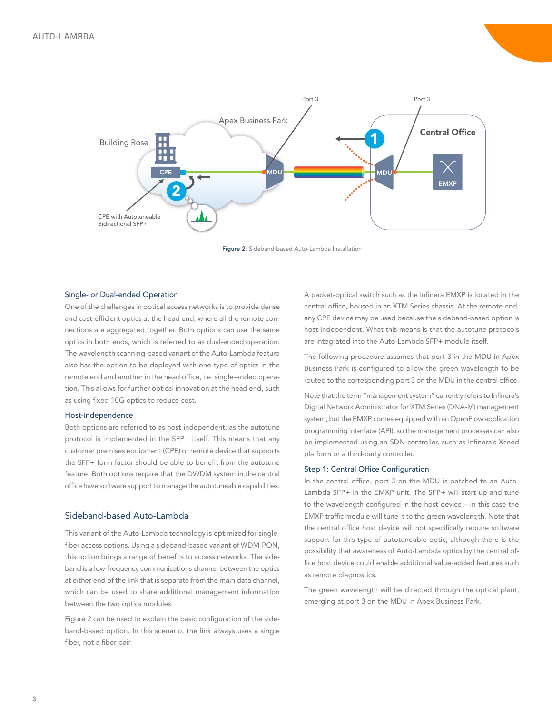

Figure 2: Sideband-based Auto-Lambda Installation

#### Single- or Dual-ended Operation

One of the challenges in optical access networks is to provide dense and cost-efficient optics at the head end, where all the remote connections are aggregated together. Both options can use the same optics in both ends, which is referred to as dual-ended operation. The wavelength scanning-based variant of the Auto-Lambda feature also has the option to be deployed with one type of optics in the remote end and another in the head office, i.e. single-ended operation. This allows for further optical innovation at the head end, such as using fixed 10G optics to reduce cost.

## Host-independence

Both options are referred to as host-independent, as the autotune protocol is implemented in the SFP+ itself. This means that any customer premises equipment (CPE) or remote device that supports the SFP+ form factor should be able to benefit from the autotune feature. Both options require that the DWDM system in the central office have software support to manage the autotuneable capabilities.

# Sideband-based Auto-Lambda

This variant of the Auto-Lambda technology is optimized for singlefiber access options. Using a sideband-based variant of WDM-PON, this option brings a range of benefits to access networks. The sideband is a low-frequency communications channel between the optics at either end of the link that is separate from the main data channel, which can be used to share additional management information between the two optics modules.

Figure 2 can be used to explain the basic configuration of the sideband-based option. In this scenario, the link always uses a single fiber, not a fiber pair.

A packet-optical switch such as the Infinera EMXP is located in the central office, housed in an XTM Series chassis. At the remote end, any CPE device may be used because the sideband-based option is host-independent. What this means is that the autotune protocols are integrated into the Auto-Lambda SFP+ module itself.

The following procedure assumes that port 3 in the MDU in Apex Business Park is configured to allow the green wavelength to be routed to the corresponding port 3 on the MDU in the central office.

Note that the term "management system" currently refers to Infinera's Digital Network Administrator for XTM Series (DNA-M) management system, but the EMXP comes equipped with an OpenFlow application programming interface (API), so the management processes can also be implemented using an SDN controller, such as Infinera's Xceed platform or a third-party controller.

#### Step 1: Central Office Configuration

In the central office, port 3 on the MDU is patched to an Auto-Lambda SFP+ in the EMXP unit. The SFP+ will start up and tune to the wavelength configured in the host device – in this case the EMXP traffic module will tune it to the green wavelength. Note that the central office host device will not specifically require software support for this type of autotuneable optic, although there is the possibility that awareness of Auto-Lambda optics by the central office host device could enable additional value-added features such as remote diagnostics.

The green wavelength will be directed through the optical plant, emerging at port 3 on the MDU in Apex Business Park.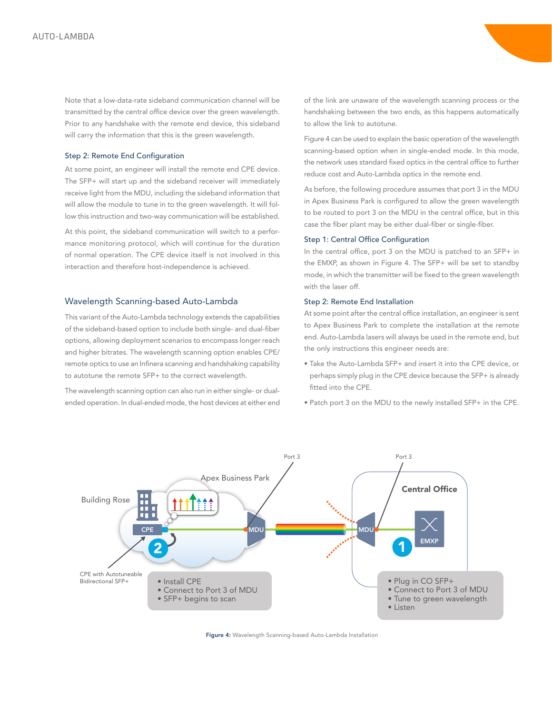Note that a low-data-rate sideband communication channel will be transmitted by the central office device over the green wavelength. Prior to any handshake with the remote end device, this sideband will carry the information that this is the green wavelength.

#### Step 2: Remote End Configuration

At some point, an engineer will install the remote end CPE device. The SFP+ will start up and the sideband receiver will immediately receive light from the MDU, including the sideband information that will allow the module to tune in to the green wavelength. It will follow this instruction and two-way communication will be established.

At this point, the sideband communication will switch to a performance monitoring protocol, which will continue for the duration of normal operation. The CPE device itself is not involved in this interaction and therefore host-independence is achieved.

# Wavelength Scanning-based Auto-Lambda

This variant of the Auto-Lambda technology extends the capabilities of the sideband-based option to include both single- and dual-fiber options, allowing deployment scenarios to encompass longer reach and higher bitrates. The wavelength scanning option enables CPE/ remote optics to use an Infinera scanning and handshaking capability to autotune the remote SFP+ to the correct wavelength.

The wavelength scanning option can also run in either single- or dualended operation. In dual-ended mode, the host devices at either end of the link are unaware of the wavelength scanning process or the handshaking between the two ends, as this happens automatically to allow the link to autotune.

Figure 4 can be used to explain the basic operation of the wavelength scanning-based option when in single-ended mode. In this mode, the network uses standard fixed optics in the central office to further reduce cost and Auto-Lambda optics in the remote end.

As before, the following procedure assumes that port 3 in the MDU in Apex Business Park is configured to allow the green wavelength to be routed to port 3 on the MDU in the central office, but in this case the fiber plant may be either dual-fiber or single-fiber.

## Step 1: Central Office Configuration

In the central office, port 3 on the MDU is patched to an SFP+ in the EMXP, as shown in Figure 4. The SFP+ will be set to standby mode, in which the transmitter will be fixed to the green wavelength with the laser off.

## Step 2: Remote End Installation

At some point after the central office installation, an engineer is sent to Apex Business Park to complete the installation at the remote end. Auto-Lambda lasers will always be used in the remote end, but the only instructions this engineer needs are:

- Take the Auto-Lambda SFP+ and insert it into the CPE device, or perhaps simply plug in the CPE device because the SFP+ is already fitted into the CPE.
- Patch port 3 on the MDU to the newly installed SFP+ in the CPE.



Figure 4: Wavelength Scanning-based Auto-Lambda Installation